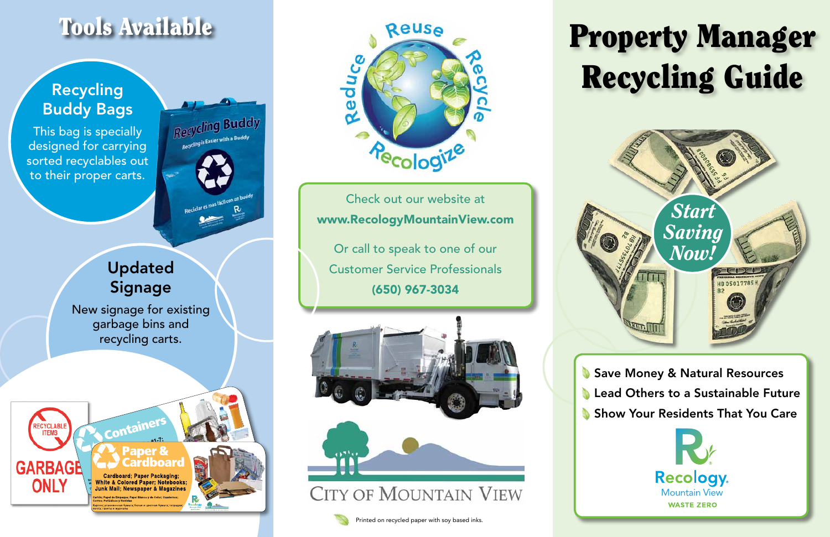# Property Manager Recycling Guide



Save Money & Natural Resources **Lead Others to a Sustainable Future** Show Your Residents That You Care



**CITY OF MOUNTAIN VIEW** 

Check out our website at www.RecologyMountainView.com

Or call to speak to one of our Customer Service Professionals (650) 967-3034





### Tools Available

### Recycling Buddy Bags

This bag is specially designed for carrying sorted recyclables out to their proper carts.

Recycling Buddy  $Q(y)$  is Easier with a Buddy

Updated Signage

New signage for existing garbage bins and recycling carts.